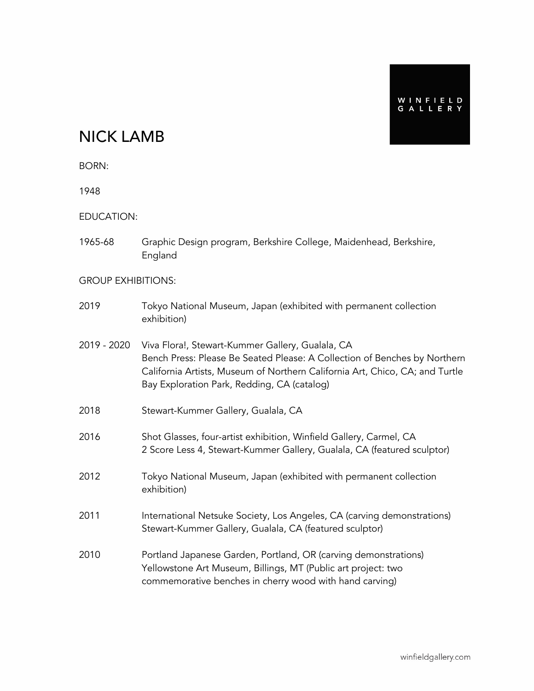# NICK LAMB

BORN:

1948

EDUCATION:

1965-68 Graphic Design program, Berkshire College, Maidenhead, Berkshire, England

#### GROUP EXHIBITIONS:

- 2019 Tokyo National Museum, Japan (exhibited with permanent collection exhibition)
- 2019 2020 Viva Flora!, Stewart-Kummer Gallery, Gualala, CA Bench Press: Please Be Seated Please: A Collection of Benches by Northern California Artists, Museum of Northern California Art, Chico, CA; and Turtle Bay Exploration Park, Redding, CA (catalog)
- 2018 Stewart-Kummer Gallery, Gualala, CA
- 2016 Shot Glasses, four-artist exhibition, Winfield Gallery, Carmel, CA 2 Score Less 4, Stewart-Kummer Gallery, Gualala, CA (featured sculptor)
- 2012 Tokyo National Museum, Japan (exhibited with permanent collection exhibition)
- 2011 International Netsuke Society, Los Angeles, CA (carving demonstrations) Stewart-Kummer Gallery, Gualala, CA (featured sculptor)
- 2010 Portland Japanese Garden, Portland, OR (carving demonstrations) Yellowstone Art Museum, Billings, MT (Public art project: two commemorative benches in cherry wood with hand carving)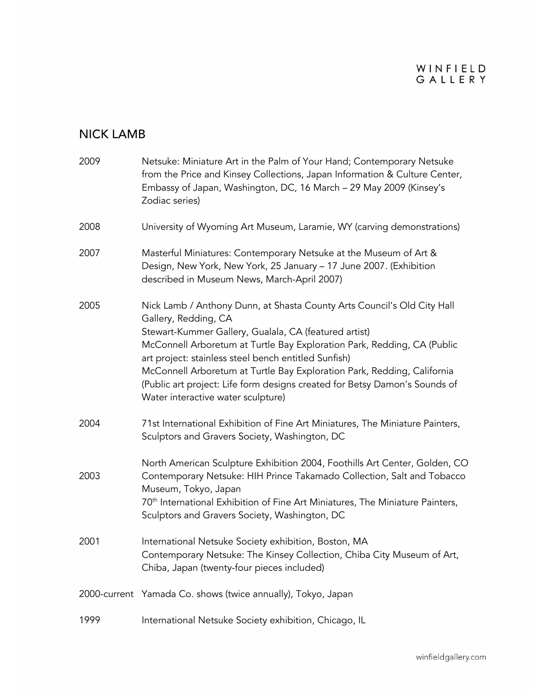# WINFIELD<br>GALLERY

# NICK LAMB

| 2009         | Netsuke: Miniature Art in the Palm of Your Hand; Contemporary Netsuke<br>from the Price and Kinsey Collections, Japan Information & Culture Center,<br>Embassy of Japan, Washington, DC, 16 March - 29 May 2009 (Kinsey's<br>Zodiac series)                                                                                                                                                                                                                                                |  |  |  |
|--------------|--------------------------------------------------------------------------------------------------------------------------------------------------------------------------------------------------------------------------------------------------------------------------------------------------------------------------------------------------------------------------------------------------------------------------------------------------------------------------------------------|--|--|--|
| 2008         | University of Wyoming Art Museum, Laramie, WY (carving demonstrations)                                                                                                                                                                                                                                                                                                                                                                                                                     |  |  |  |
| 2007         | Masterful Miniatures: Contemporary Netsuke at the Museum of Art &<br>Design, New York, New York, 25 January - 17 June 2007. (Exhibition<br>described in Museum News, March-April 2007)                                                                                                                                                                                                                                                                                                     |  |  |  |
| 2005         | Nick Lamb / Anthony Dunn, at Shasta County Arts Council's Old City Hall<br>Gallery, Redding, CA<br>Stewart-Kummer Gallery, Gualala, CA (featured artist)<br>McConnell Arboretum at Turtle Bay Exploration Park, Redding, CA (Public<br>art project: stainless steel bench entitled Sunfish)<br>McConnell Arboretum at Turtle Bay Exploration Park, Redding, California<br>(Public art project: Life form designs created for Betsy Damon's Sounds of<br>Water interactive water sculpture) |  |  |  |
| 2004         | 71st International Exhibition of Fine Art Miniatures, The Miniature Painters,<br>Sculptors and Gravers Society, Washington, DC                                                                                                                                                                                                                                                                                                                                                             |  |  |  |
| 2003         | North American Sculpture Exhibition 2004, Foothills Art Center, Golden, CO<br>Contemporary Netsuke: HIH Prince Takamado Collection, Salt and Tobacco<br>Museum, Tokyo, Japan<br>70 <sup>th</sup> International Exhibition of Fine Art Miniatures, The Miniature Painters,<br>Sculptors and Gravers Society, Washington, DC                                                                                                                                                                 |  |  |  |
| 2001         | International Netsuke Society exhibition, Boston, MA<br>Contemporary Netsuke: The Kinsey Collection, Chiba City Museum of Art,<br>Chiba, Japan (twenty-four pieces included)                                                                                                                                                                                                                                                                                                               |  |  |  |
| 2000-current | Yamada Co. shows (twice annually), Tokyo, Japan                                                                                                                                                                                                                                                                                                                                                                                                                                            |  |  |  |
| 1999         | International Netsuke Society exhibition, Chicago, IL                                                                                                                                                                                                                                                                                                                                                                                                                                      |  |  |  |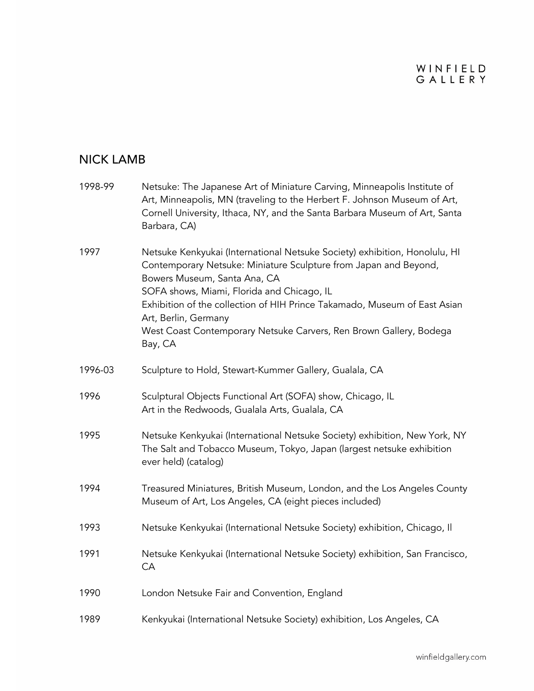# WINFIELD<br>GALLERY

## NICK LAMB

| 1998-99 | Netsuke: The Japanese Art of Miniature Carving, Minneapolis Institute of<br>Art, Minneapolis, MN (traveling to the Herbert F. Johnson Museum of Art,<br>Cornell University, Ithaca, NY, and the Santa Barbara Museum of Art, Santa<br>Barbara, CA)                                                                                                                                                                 |  |
|---------|--------------------------------------------------------------------------------------------------------------------------------------------------------------------------------------------------------------------------------------------------------------------------------------------------------------------------------------------------------------------------------------------------------------------|--|
| 1997    | Netsuke Kenkyukai (International Netsuke Society) exhibition, Honolulu, HI<br>Contemporary Netsuke: Miniature Sculpture from Japan and Beyond,<br>Bowers Museum, Santa Ana, CA<br>SOFA shows, Miami, Florida and Chicago, IL<br>Exhibition of the collection of HIH Prince Takamado, Museum of East Asian<br>Art, Berlin, Germany<br>West Coast Contemporary Netsuke Carvers, Ren Brown Gallery, Bodega<br>Bay, CA |  |
| 1996-03 | Sculpture to Hold, Stewart-Kummer Gallery, Gualala, CA                                                                                                                                                                                                                                                                                                                                                             |  |
| 1996    | Sculptural Objects Functional Art (SOFA) show, Chicago, IL<br>Art in the Redwoods, Gualala Arts, Gualala, CA                                                                                                                                                                                                                                                                                                       |  |
| 1995    | Netsuke Kenkyukai (International Netsuke Society) exhibition, New York, NY<br>The Salt and Tobacco Museum, Tokyo, Japan (largest netsuke exhibition<br>ever held) (catalog)                                                                                                                                                                                                                                        |  |
| 1994    | Treasured Miniatures, British Museum, London, and the Los Angeles County<br>Museum of Art, Los Angeles, CA (eight pieces included)                                                                                                                                                                                                                                                                                 |  |
| 1993    | Netsuke Kenkyukai (International Netsuke Society) exhibition, Chicago, Il                                                                                                                                                                                                                                                                                                                                          |  |
| 1991    | Netsuke Kenkyukai (International Netsuke Society) exhibition, San Francisco,<br>CA                                                                                                                                                                                                                                                                                                                                 |  |
| 1990    | London Netsuke Fair and Convention, England                                                                                                                                                                                                                                                                                                                                                                        |  |
| 1989    | Kenkyukai (International Netsuke Society) exhibition, Los Angeles, CA                                                                                                                                                                                                                                                                                                                                              |  |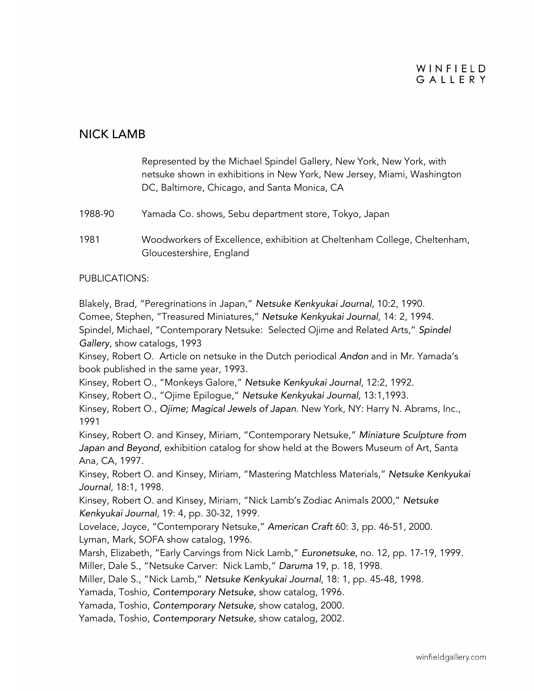#### WINFIELD GALLERY

#### NICK LAMB



PUBLICATIONS:

Blakely, Brad, "Peregrinations in Japan," *Netsuke Kenkyukai Journal*, 10:2, 1990. Comee, Stephen, "Treasured Miniatures," *Netsuke Kenkyukai Journal*, 14: 2, 1994. Spindel, Michael, "Contemporary Netsuke: Selected Ojime and Related Arts," *Spindel Gallery*, show catalogs, 1993

Kinsey, Robert O. Article on netsuke in the Dutch periodical *Andon* and in Mr. Yamada's book published in the same year, 1993.

Kinsey, Robert O., "Monkeys Galore," *Netsuke Kenkyukai Journal*, 12:2, 1992.

Kinsey, Robert O., "Ojime Epilogue," *Netsuke Kenkyukai Journal,* 13:1,1993.

Kinsey, Robert O., *Ojime; Magical Jewels of Japan*. New York, NY: Harry N. Abrams, Inc., 1991

Kinsey, Robert O. and Kinsey, Miriam, "Contemporary Netsuke," *Miniature Sculpture from Japan and Beyond*, exhibition catalog for show held at the Bowers Museum of Art, Santa Ana, CA, 1997.

Kinsey, Robert O. and Kinsey, Miriam, "Mastering Matchless Materials," *Netsuke Kenkyukai Journal*, 18:1, 1998.

Kinsey, Robert O. and Kinsey, Miriam, "Nick Lamb's Zodiac Animals 2000," *Netsuke Kenkyukai Journal*, 19: 4, pp. 30-32, 1999.

Lovelace, Joyce, "Contemporary Netsuke," *American Craft* 60: 3, pp. 46-51, 2000. Lyman, Mark, SOFA show catalog, 1996.

Marsh, Elizabeth, "Early Carvings from Nick Lamb," *Euronetsuke*, no. 12, pp. 17-19, 1999. Miller, Dale S., "Netsuke Carver: Nick Lamb," *Daruma* 19, p. 18, 1998.

Miller, Dale S., "Nick Lamb," *Netsuke Kenkyukai Journal*, 18: 1, pp. 45-48, 1998.

Yamada, Toshio, *Contemporary Netsuke,* show catalog, 1996.

Yamada, Toshio, *Contemporary Netsuke,* show catalog, 2000.

Yamada, Toshio, *Contemporary Netsuke,* show catalog, 2002.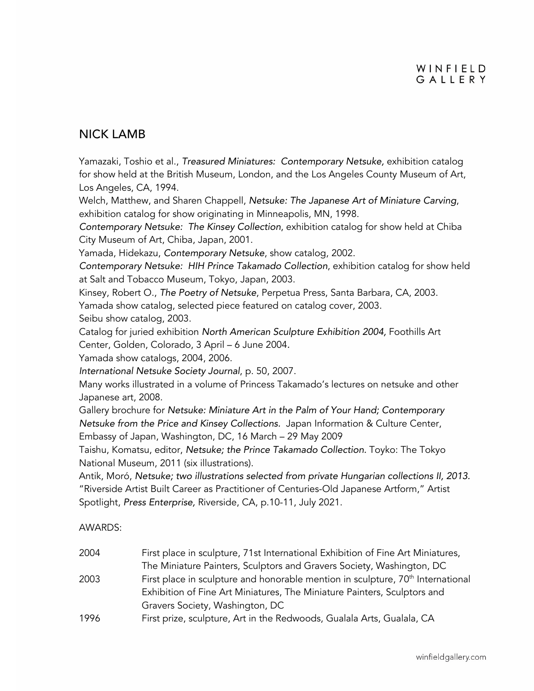### NICK LAMB

Yamazaki, Toshio et al., *Treasured Miniatures: Contemporary Netsuke,* exhibition catalog for show held at the British Museum, London, and the Los Angeles County Museum of Art, Los Angeles, CA, 1994.

Welch, Matthew, and Sharen Chappell, *Netsuke: The Japanese Art of Miniature Carving*, exhibition catalog for show originating in Minneapolis, MN, 1998.

*Contemporary Netsuke: The Kinsey Collection*, exhibition catalog for show held at Chiba City Museum of Art, Chiba, Japan, 2001.

Yamada, Hidekazu, *Contemporary Netsuke*, show catalog, 2002.

*Contemporary Netsuke: HIH Prince Takamado Collection*, exhibition catalog for show held at Salt and Tobacco Museum, Tokyo, Japan, 2003.

Kinsey, Robert O., *The Poetry of Netsuke*, Perpetua Press, Santa Barbara, CA, 2003. Yamada show catalog, selected piece featured on catalog cover, 2003. Seibu show catalog, 2003.

Catalog for juried exhibition *North American Sculpture Exhibition 2004,* Foothills Art Center, Golden, Colorado, 3 April – 6 June 2004*.* 

Yamada show catalogs, 2004, 2006.

*International Netsuke Society Journal*, p. 50, 2007.

Many works illustrated in a volume of Princess Takamado's lectures on netsuke and other Japanese art, 2008.

Gallery brochure for *Netsuke: Miniature Art in the Palm of Your Hand; Contemporary Netsuke from the Price and Kinsey Collections.* Japan Information & Culture Center, Embassy of Japan, Washington, DC, 16 March – 29 May 2009

Taishu, Komatsu, editor, *Netsuke; the Prince Takamado Collection.* Toyko: The Tokyo National Museum, 2011 (six illustrations).

Antik, Moró, *Netsuke; two illustrations selected from private Hungarian collections II, 2013.* "Riverside Artist Built Career as Practitioner of Centuries-Old Japanese Artform," Artist Spotlight, *Press Enterprise,* Riverside, CA, p.10-11, July 2021.

AWARDS:

| 2004 | First place in sculpture, 71st International Exhibition of Fine Art Miniatures,             |
|------|---------------------------------------------------------------------------------------------|
|      | The Miniature Painters, Sculptors and Gravers Society, Washington, DC                       |
| 2003 | First place in sculpture and honorable mention in sculpture, 70 <sup>th</sup> International |
|      | Exhibition of Fine Art Miniatures, The Miniature Painters, Sculptors and                    |
|      | Gravers Society, Washington, DC                                                             |
| 1996 | First prize, sculpture, Art in the Redwoods, Gualala Arts, Gualala, CA                      |